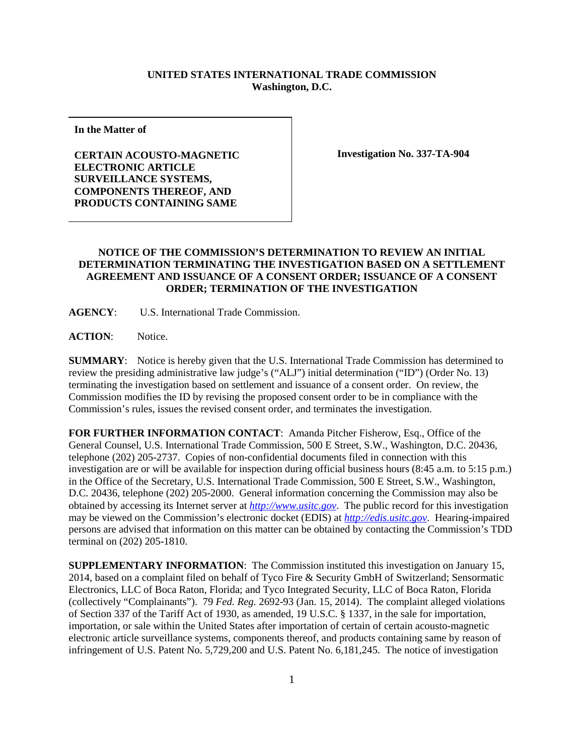## **UNITED STATES INTERNATIONAL TRADE COMMISSION Washington, D.C.**

**In the Matter of**

**CERTAIN ACOUSTO-MAGNETIC ELECTRONIC ARTICLE SURVEILLANCE SYSTEMS, COMPONENTS THEREOF, AND PRODUCTS CONTAINING SAME**

**Investigation No. 337-TA-904**

## **NOTICE OF THE COMMISSION'S DETERMINATION TO REVIEW AN INITIAL DETERMINATION TERMINATING THE INVESTIGATION BASED ON A SETTLEMENT AGREEMENT AND ISSUANCE OF A CONSENT ORDER; ISSUANCE OF A CONSENT ORDER; TERMINATION OF THE INVESTIGATION**

**AGENCY**: U.S. International Trade Commission.

**ACTION**: Notice.

**SUMMARY**: Notice is hereby given that the U.S. International Trade Commission has determined to review the presiding administrative law judge's ("ALJ") initial determination ("ID") (Order No. 13) terminating the investigation based on settlement and issuance of a consent order. On review, the Commission modifies the ID by revising the proposed consent order to be in compliance with the Commission's rules, issues the revised consent order, and terminates the investigation.

**FOR FURTHER INFORMATION CONTACT**: Amanda Pitcher Fisherow, Esq., Office of the General Counsel, U.S. International Trade Commission, 500 E Street, S.W., Washington, D.C. 20436, telephone (202) 205-2737. Copies of non-confidential documents filed in connection with this investigation are or will be available for inspection during official business hours (8:45 a.m. to 5:15 p.m.) in the Office of the Secretary, U.S. International Trade Commission, 500 E Street, S.W., Washington, D.C. 20436, telephone (202) 205-2000. General information concerning the Commission may also be obtained by accessing its Internet server at *[http://www.usitc.gov](http://www.usitc.gov/)*. The public record for this investigation may be viewed on the Commission's electronic docket (EDIS) at *[http://edis.usitc.gov](http://edis.usitc.gov/)*. Hearing-impaired persons are advised that information on this matter can be obtained by contacting the Commission's TDD terminal on (202) 205-1810.

**SUPPLEMENTARY INFORMATION**: The Commission instituted this investigation on January 15, 2014, based on a complaint filed on behalf of Tyco Fire & Security GmbH of Switzerland; Sensormatic Electronics, LLC of Boca Raton, Florida; and Tyco Integrated Security, LLC of Boca Raton, Florida (collectively "Complainants"). 79 *Fed. Reg.* 2692-93 (Jan. 15, 2014). The complaint alleged violations of Section 337 of the Tariff Act of 1930, as amended, 19 U.S.C. § 1337, in the sale for importation, importation, or sale within the United States after importation of certain of certain acousto-magnetic electronic article surveillance systems, components thereof, and products containing same by reason of infringement of U.S. Patent No. 5,729,200 and U.S. Patent No. 6,181,245. The notice of investigation